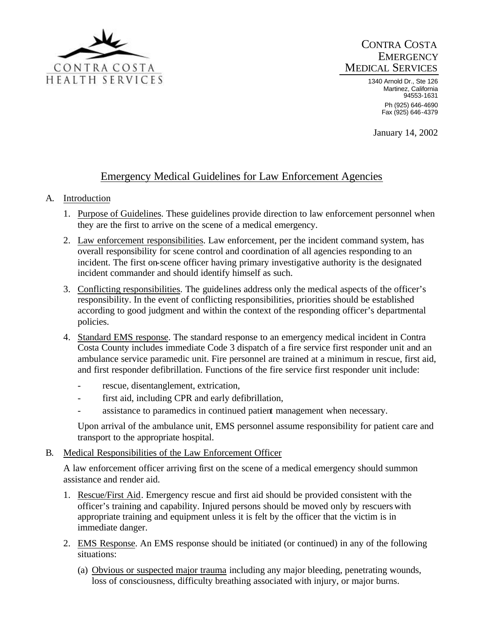

## CONTRA COSTA **EMERGENCY** MEDICAL SERVICES

1340 Arnold Dr., Ste 126 Martinez, California 94553-1631 Ph (925) 646-4690 Fax (925) 646-4379

January 14, 2002

# Emergency Medical Guidelines for Law Enforcement Agencies

## A. Introduction

- 1. Purpose of Guidelines. These guidelines provide direction to law enforcement personnel when they are the first to arrive on the scene of a medical emergency.
- 2. Law enforcement responsibilities. Law enforcement, per the incident command system, has overall responsibility for scene control and coordination of all agencies responding to an incident. The first on-scene officer having primary investigative authority is the designated incident commander and should identify himself as such.
- 3. Conflicting responsibilities. The guidelines address only the medical aspects of the officer's responsibility. In the event of conflicting responsibilities, priorities should be established according to good judgment and within the context of the responding officer's departmental policies.
- 4. Standard EMS response. The standard response to an emergency medical incident in Contra Costa County includes immediate Code 3 dispatch of a fire service first responder unit and an ambulance service paramedic unit. Fire personnel are trained at a minimum in rescue, first aid, and first responder defibrillation. Functions of the fire service first responder unit include:
	- rescue, disentanglement, extrication,
	- first aid, including CPR and early defibrillation,
	- assistance to paramedics in continued patient management when necessary.

Upon arrival of the ambulance unit, EMS personnel assume responsibility for patient care and transport to the appropriate hospital.

## B. Medical Responsibilities of the Law Enforcement Officer

A law enforcement officer arriving first on the scene of a medical emergency should summon assistance and render aid.

- 1. Rescue/First Aid. Emergency rescue and first aid should be provided consistent with the officer's training and capability. Injured persons should be moved only by rescuers with appropriate training and equipment unless it is felt by the officer that the victim is in immediate danger.
- 2. EMS Response. An EMS response should be initiated (or continued) in any of the following situations:
	- (a) Obvious or suspected major trauma including any major bleeding, penetrating wounds, loss of consciousness, difficulty breathing associated with injury, or major burns.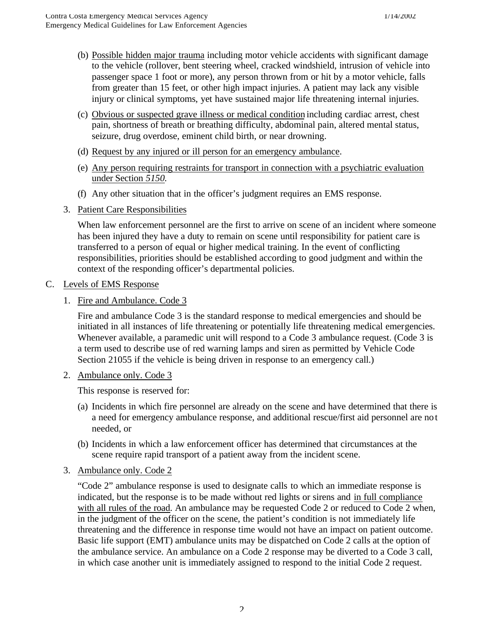- (b) Possible hidden major trauma including motor vehicle accidents with significant damage to the vehicle (rollover, bent steering wheel, cracked windshield, intrusion of vehicle into passenger space 1 foot or more), any person thrown from or hit by a motor vehicle, falls from greater than 15 feet, or other high impact injuries. A patient may lack any visible injury or clinical symptoms, yet have sustained major life threatening internal injuries.
- (c) Obvious or suspected grave illness or medical condition including cardiac arrest, chest pain, shortness of breath or breathing difficulty, abdominal pain, altered mental status, seizure, drug overdose, eminent child birth, or near drowning.
- (d) Request by any injured or ill person for an emergency ambulance.
- (e) Any person requiring restraints for transport in connection with a psychiatric evaluation under Section *5150.*
- (f) Any other situation that in the officer's judgment requires an EMS response.
- 3. Patient Care Responsibilities

When law enforcement personnel are the first to arrive on scene of an incident where someone has been injured they have a duty to remain on scene until responsibility for patient care is transferred to a person of equal or higher medical training. In the event of conflicting responsibilities, priorities should be established according to good judgment and within the context of the responding officer's departmental policies.

## C. Levels of EMS Response

1. Fire and Ambulance. Code 3

Fire and ambulance Code 3 is the standard response to medical emergencies and should be initiated in all instances of life threatening or potentially life threatening medical emergencies. Whenever available, a paramedic unit will respond to a Code 3 ambulance request. (Code 3 is a term used to describe use of red warning lamps and siren as permitted by Vehicle Code Section 21055 if the vehicle is being driven in response to an emergency call.)

2. Ambulance only. Code 3

This response is reserved for:

- (a) Incidents in which fire personnel are already on the scene and have determined that there is a need for emergency ambulance response, and additional rescue/first aid personnel are not needed, or
- (b) Incidents in which a law enforcement officer has determined that circumstances at the scene require rapid transport of a patient away from the incident scene.
- 3. Ambulance only. Code 2

"Code 2" ambulance response is used to designate calls to which an immediate response is indicated, but the response is to be made without red lights or sirens and in full compliance with all rules of the road. An ambulance may be requested Code 2 or reduced to Code 2 when, in the judgment of the officer on the scene, the patient's condition is not immediately life threatening and the difference in response time would not have an impact on patient outcome. Basic life support (EMT) ambulance units may be dispatched on Code 2 calls at the option of the ambulance service. An ambulance on a Code 2 response may be diverted to a Code 3 call, in which case another unit is immediately assigned to respond to the initial Code 2 request.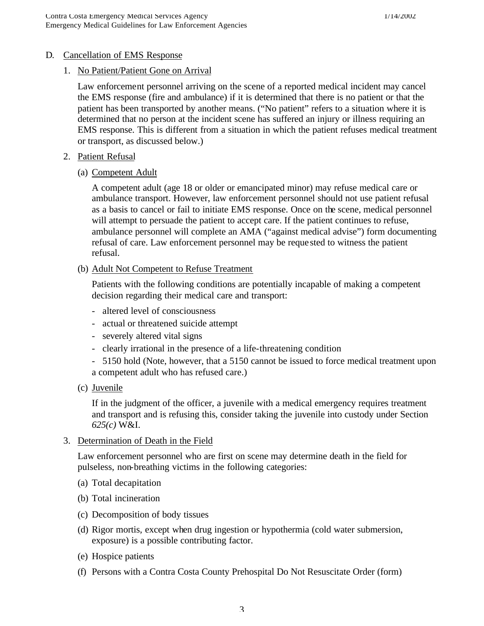## D. Cancellation of EMS Response

#### 1. No Patient/Patient Gone on Arrival

Law enforcement personnel arriving on the scene of a reported medical incident may cancel the EMS response (fire and ambulance) if it is determined that there is no patient or that the patient has been transported by another means. ("No patient" refers to a situation where it is determined that no person at the incident scene has suffered an injury or illness requiring an EMS response. This is different from a situation in which the patient refuses medical treatment or transport, as discussed below.)

- 2. Patient Refusal
	- (a) Competent Adult

A competent adult (age 18 or older or emancipated minor) may refuse medical care or ambulance transport. However, law enforcement personnel should not use patient refusal as a basis to cancel or fail to initiate EMS response. Once on the scene, medical personnel will attempt to persuade the patient to accept care. If the patient continues to refuse, ambulance personnel will complete an AMA ("against medical advise") form documenting refusal of care. Law enforcement personnel may be reque sted to witness the patient refusal.

(b) Adult Not Competent to Refuse Treatment

Patients with the following conditions are potentially incapable of making a competent decision regarding their medical care and transport:

- altered level of consciousness
- actual or threatened suicide attempt
- severely altered vital signs
- clearly irrational in the presence of a life-threatening condition
- 5150 hold (Note, however, that a 5150 cannot be issued to force medical treatment upon a competent adult who has refused care.)
- (c) Juvenile

If in the judgment of the officer, a juvenile with a medical emergency requires treatment and transport and is refusing this, consider taking the juvenile into custody under Section *625(c)* W&I.

3. Determination of Death in the Field

Law enforcement personnel who are first on scene may determine death in the field for pulseless, non-breathing victims in the following categories:

- (a) Total decapitation
- (b) Total incineration
- (c) Decomposition of body tissues
- (d) Rigor mortis, except when drug ingestion or hypothermia (cold water submersion, exposure) is a possible contributing factor.
- (e) Hospice patients
- (f) Persons with a Contra Costa County Prehospital Do Not Resuscitate Order (form)